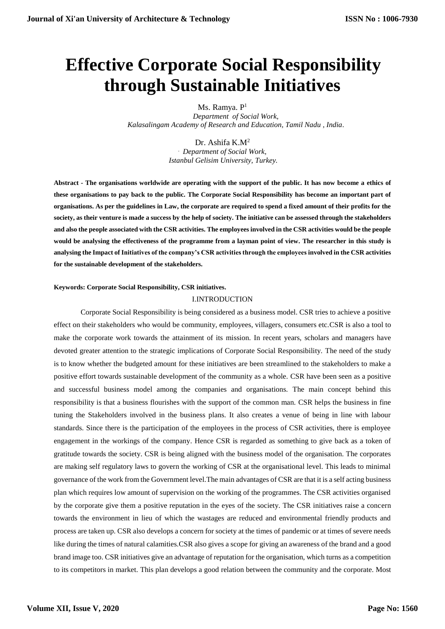# **Effective Corporate Social Responsibility through Sustainable Initiatives**

Ms. Ramya. P<sup>1</sup>

*Department of Social Work, Kalasalingam Academy of Research and Education, Tamil Nadu , India.*

> Dr. Ashifa K.M<sup>2</sup> . *Department of Social Work, Istanbul Gelisim University, Turkey.*

**Abstract - The organisations worldwide are operating with the support of the public. It has now become a ethics of these organisations to pay back to the public. The Corporate Social Responsibility has become an important part of organisations. As per the guidelines in Law, the corporate are required to spend a fixed amount of their profits for the society, as their venture is made a success by the help of society. The initiative can be assessed through the stakeholders and also the people associated with the CSR activities. The employees involved in the CSR activities would be the people would be analysing the effectiveness of the programme from a layman point of view. The researcher in this study is analysing the Impact of Initiatives of the company's CSR activities through the employees involved in the CSR activities for the sustainable development of the stakeholders.**

## **Keywords: Corporate Social Responsibility, CSR initiatives.**

## I.INTRODUCTION

Corporate Social Responsibility is being considered as a business model. CSR tries to achieve a positive effect on their stakeholders who would be community, employees, villagers, consumers etc.CSR is also a tool to make the corporate work towards the attainment of its mission. In recent years, scholars and managers have devoted greater attention to the strategic implications of Corporate Social Responsibility. The need of the study is to know whether the budgeted amount for these initiatives are been streamlined to the stakeholders to make a positive effort towards sustainable development of the community as a whole. CSR have been seen as a positive and successful business model among the companies and organisations. The main concept behind this responsibility is that a business flourishes with the support of the common man. CSR helps the business in fine tuning the Stakeholders involved in the business plans. It also creates a venue of being in line with labour standards. Since there is the participation of the employees in the process of CSR activities, there is employee engagement in the workings of the company. Hence CSR is regarded as something to give back as a token of gratitude towards the society. CSR is being aligned with the business model of the organisation. The corporates are making self regulatory laws to govern the working of CSR at the organisational level. This leads to minimal governance of the work from the Government level.The main advantages of CSR are that it is a self acting business plan which requires low amount of supervision on the working of the programmes. The CSR activities organised by the corporate give them a positive reputation in the eyes of the society. The CSR initiatives raise a concern towards the environment in lieu of which the wastages are reduced and environmental friendly products and process are taken up. CSR also develops a concern for society at the times of pandemic or at times of severe needs like during the times of natural calamities.CSR also gives a scope for giving an awareness of the brand and a good brand image too. CSR initiatives give an advantage of reputation for the organisation, which turns as a competition to its competitors in market. This plan develops a good relation between the community and the corporate. Most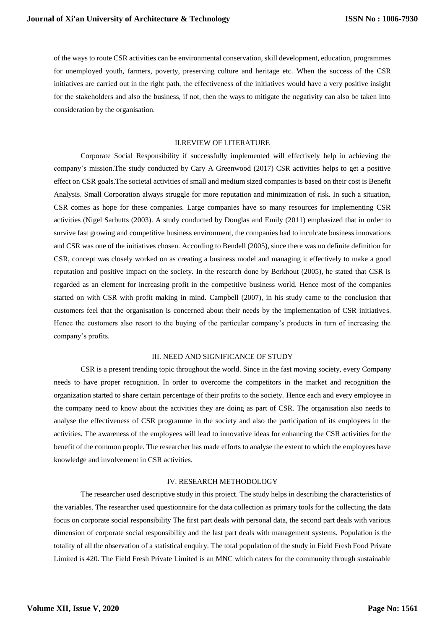of the ways to route CSR activities can be environmental conservation, skill development, education, programmes for unemployed youth, farmers, poverty, preserving culture and heritage etc. When the success of the CSR initiatives are carried out in the right path, the effectiveness of the initiatives would have a very positive insight for the stakeholders and also the business, if not, then the ways to mitigate the negativity can also be taken into consideration by the organisation.

## II.REVIEW OF LITERATURE

Corporate Social Responsibility if successfully implemented will effectively help in achieving the company's mission.The study conducted by Cary A Greenwood (2017) CSR activities helps to get a positive effect on CSR goals.The societal activities of small and medium sized companies is based on their cost is Benefit Analysis. Small Corporation always struggle for more reputation and minimization of risk. In such a situation, CSR comes as hope for these companies. Large companies have so many resources for implementing CSR activities (Nigel Sarbutts (2003). A study conducted by Douglas and Emily (2011) emphasized that in order to survive fast growing and competitive business environment, the companies had to inculcate business innovations and CSR was one of the initiatives chosen. According to Bendell (2005), since there was no definite definition for CSR, concept was closely worked on as creating a business model and managing it effectively to make a good reputation and positive impact on the society. In the research done by Berkhout (2005), he stated that CSR is regarded as an element for increasing profit in the competitive business world. Hence most of the companies started on with CSR with profit making in mind. Campbell (2007), in his study came to the conclusion that customers feel that the organisation is concerned about their needs by the implementation of CSR initiatives. Hence the customers also resort to the buying of the particular company's products in turn of increasing the company's profits.

## III. NEED AND SIGNIFICANCE OF STUDY

CSR is a present trending topic throughout the world. Since in the fast moving society, every Company needs to have proper recognition. In order to overcome the competitors in the market and recognition the organization started to share certain percentage of their profits to the society. Hence each and every employee in the company need to know about the activities they are doing as part of CSR. The organisation also needs to analyse the effectiveness of CSR programme in the society and also the participation of its employees in the activities. The awareness of the employees will lead to innovative ideas for enhancing the CSR activities for the benefit of the common people. The researcher has made efforts to analyse the extent to which the employees have knowledge and involvement in CSR activities.

## IV. RESEARCH METHODOLOGY

The researcher used descriptive study in this project. The study helps in describing the characteristics of the variables. The researcher used questionnaire for the data collection as primary tools for the collecting the data focus on corporate social responsibility The first part deals with personal data, the second part deals with various dimension of corporate social responsibility and the last part deals with management systems. Population is the totality of all the observation of a statistical enquiry. The total population of the study in Field Fresh Food Private Limited is 420. The Field Fresh Private Limited is an MNC which caters for the community through sustainable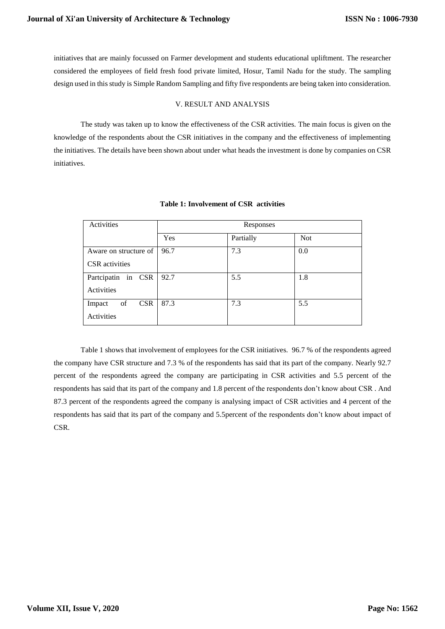initiatives that are mainly focussed on Farmer development and students educational upliftment. The researcher considered the employees of field fresh food private limited, Hosur, Tamil Nadu for the study. The sampling design used in this study is Simple Random Sampling and fifty five respondents are being taken into consideration.

# V. RESULT AND ANALYSIS

The study was taken up to know the effectiveness of the CSR activities. The main focus is given on the knowledge of the respondents about the CSR initiatives in the company and the effectiveness of implementing the initiatives. The details have been shown about under what heads the investment is done by companies on CSR initiatives.

| Activities                 | Responses |           |            |
|----------------------------|-----------|-----------|------------|
|                            | Yes       | Partially | <b>Not</b> |
| Aware on structure of 1    | 96.7      | 7.3       | 0.0        |
| <b>CSR</b> activities      |           |           |            |
| Partcipatin in CSR         | 92.7      | 5.5       | 1.8        |
| Activities                 |           |           |            |
| <b>CSR</b><br>of<br>Impact | 87.3      | 7.3       | 5.5        |
| Activities                 |           |           |            |

# **Table 1: Involvement of CSR activities**

Table 1 shows that involvement of employees for the CSR initiatives. 96.7 % of the respondents agreed the company have CSR structure and 7.3 % of the respondents has said that its part of the company. Nearly 92.7 percent of the respondents agreed the company are participating in CSR activities and 5.5 percent of the respondents has said that its part of the company and 1.8 percent of the respondents don't know about CSR . And 87.3 percent of the respondents agreed the company is analysing impact of CSR activities and 4 percent of the respondents has said that its part of the company and 5.5percent of the respondents don't know about impact of CSR.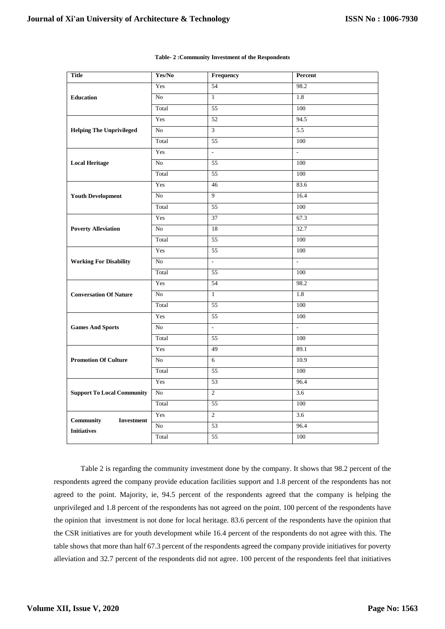| <b>Title</b>                      | Yes/No          | Frequency                | Percent                  |
|-----------------------------------|-----------------|--------------------------|--------------------------|
| <b>Education</b>                  | Yes             | 54                       | 98.2                     |
|                                   | No              | $\mathbf{1}$             | 1.8                      |
|                                   | Total           | 55                       | 100                      |
|                                   | Yes             | 52                       | 94.5                     |
| <b>Helping The Unprivileged</b>   | No              | $\overline{3}$           | 5.5                      |
|                                   | Total           | 55                       | 100                      |
|                                   | Yes             | $\overline{\phantom{a}}$ | $\overline{\phantom{a}}$ |
| <b>Local Heritage</b>             | No              | 55                       | 100                      |
|                                   | Total           | 55                       | 100                      |
|                                   | Yes             | 46                       | 83.6                     |
| <b>Youth Development</b>          | No              | 9                        | 16.4                     |
|                                   | Total           | 55                       | 100                      |
|                                   | Yes             | 37                       | 67.3                     |
| <b>Poverty Alleviation</b>        | No              | 18                       | 32.7                     |
|                                   | Total           | 55                       | 100                      |
|                                   | Yes             | 55                       | 100                      |
| <b>Working For Disability</b>     | N <sub>o</sub>  | $\overline{\phantom{a}}$ | $\overline{\phantom{a}}$ |
|                                   | Total           | 55                       | 100                      |
|                                   | Yes             | 54                       | 98.2                     |
| <b>Conversation Of Nature</b>     | No              | $\mathbf{1}$             | 1.8                      |
|                                   | Total           | 55                       | 100                      |
|                                   | Yes             | 55                       | 100                      |
| <b>Games And Sports</b>           | No              | $\omega$                 | L.                       |
|                                   | Total           | 55                       | 100                      |
| <b>Promotion Of Culture</b>       | Yes             | 49                       | 89.1                     |
|                                   | N <sub>o</sub>  | 6                        | 10.9                     |
|                                   | Total           | 55                       | 100                      |
| <b>Support To Local Community</b> | Yes             | 53                       | 96.4                     |
|                                   | No              | $\overline{2}$           | 3.6                      |
|                                   | Total           | 55                       | 100                      |
| Community<br><b>Investment</b>    | Yes             | $\overline{2}$           | 3.6                      |
| <b>Initiatives</b>                | $\overline{No}$ | 53                       | 96.4                     |
|                                   | Total           | 55                       | 100                      |

#### **Table- 2 :Community Investment of the Respondents**

Table 2 is regarding the community investment done by the company. It shows that 98.2 percent of the respondents agreed the company provide education facilities support and 1.8 percent of the respondents has not agreed to the point. Majority, ie, 94.5 percent of the respondents agreed that the company is helping the unprivileged and 1.8 percent of the respondents has not agreed on the point. 100 percent of the respondents have the opinion that investment is not done for local heritage. 83.6 percent of the respondents have the opinion that the CSR initiatives are for youth development while 16.4 percent of the respondents do not agree with this. The table shows that more than half 67.3 percent of the respondents agreed the company provide initiatives for poverty alleviation and 32.7 percent of the respondents did not agree. 100 percent of the respondents feel that initiatives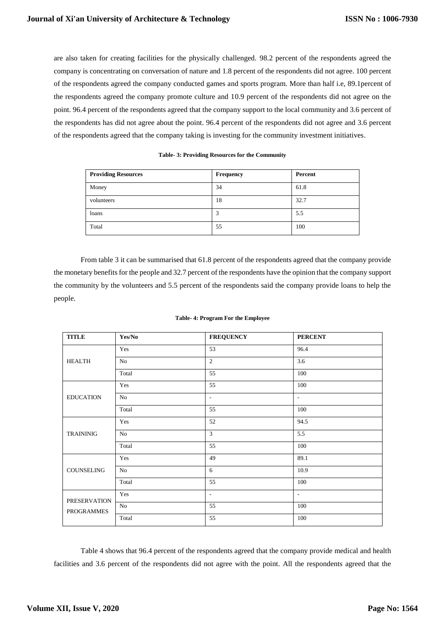are also taken for creating facilities for the physically challenged. 98.2 percent of the respondents agreed the company is concentrating on conversation of nature and 1.8 percent of the respondents did not agree. 100 percent of the respondents agreed the company conducted games and sports program. More than half i.e, 89.1percent of the respondents agreed the company promote culture and 10.9 percent of the respondents did not agree on the point. 96.4 percent of the respondents agreed that the company support to the local community and 3.6 percent of the respondents has did not agree about the point. 96.4 percent of the respondents did not agree and 3.6 percent of the respondents agreed that the company taking is investing for the community investment initiatives.

| <b>Providing Resources</b> | Frequency | Percent |
|----------------------------|-----------|---------|
| Money                      | 34        | 61.8    |
| volunteers                 | 18        | 32.7    |
| loans                      | 3         | 5.5     |
| Total                      | 55        | 100     |

**Table- 3: Providing Resources for the Community**

From table 3 it can be summarised that 61.8 percent of the respondents agreed that the company provide the monetary benefits for the people and 32.7 percent of the respondents have the opinion that the company support the community by the volunteers and 5.5 percent of the respondents said the company provide loans to help the people.

| Table-4: Program For the Employee |  |
|-----------------------------------|--|
|-----------------------------------|--|

| <b>TITLE</b>               | Yes/No | <b>FREQUENCY</b>         | <b>PERCENT</b>           |
|----------------------------|--------|--------------------------|--------------------------|
| <b>HEALTH</b>              | Yes    | 53                       | 96.4                     |
|                            | No     | 2                        | 3.6                      |
|                            | Total  | 55                       | 100                      |
|                            | Yes    | 55                       | 100                      |
| <b>EDUCATION</b>           | No     | $\overline{\phantom{a}}$ | $\overline{\phantom{a}}$ |
|                            | Total  | 55                       | 100                      |
| <b>TRAININIG</b>           | Yes    | 52                       | 94.5                     |
|                            | No     | $\overline{3}$           | 5.5                      |
|                            | Total  | 55                       | 100                      |
| COUNSELING                 | Yes    | 49                       | 89.1                     |
|                            | No     | 6                        | 10.9                     |
|                            | Total  | 55                       | 100                      |
| PRESERVATION<br>PROGRAMMES | Yes    | $\overline{\phantom{a}}$ | $\overline{\phantom{a}}$ |
|                            | No     | 55                       | 100                      |
|                            | Total  | 55                       | 100                      |

Table 4 shows that 96.4 percent of the respondents agreed that the company provide medical and health facilities and 3.6 percent of the respondents did not agree with the point. All the respondents agreed that the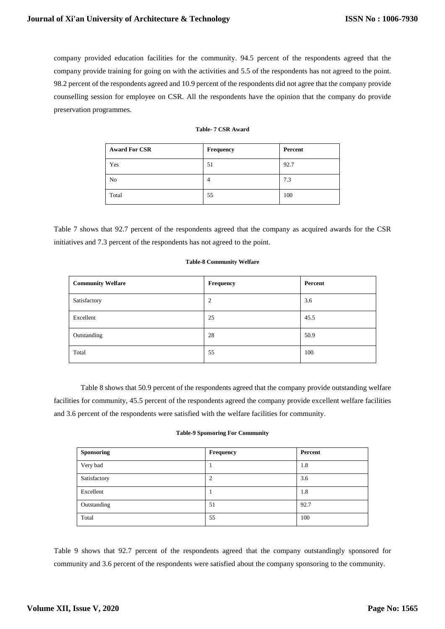company provided education facilities for the community. 94.5 percent of the respondents agreed that the company provide training for going on with the activities and 5.5 of the respondents has not agreed to the point. 98.2 percent of the respondents agreed and 10.9 percent of the respondents did not agree that the company provide counselling session for employee on CSR. All the respondents have the opinion that the company do provide preservation programmes.

| <b>Award For CSR</b> | <b>Frequency</b> | Percent |
|----------------------|------------------|---------|
| Yes                  | 51               | 92.7    |
| N <sub>o</sub>       | 4                | 7.3     |
| Total                | 55               | 100     |

# **Table- 7 CSR Award**

Table 7 shows that 92.7 percent of the respondents agreed that the company as acquired awards for the CSR initiatives and 7.3 percent of the respondents has not agreed to the point.

#### **Table-8 Community Welfare**

| <b>Community Welfare</b> | Frequency | Percent |
|--------------------------|-----------|---------|
| Satisfactory             | 2         | 3.6     |
| Excellent                | 25        | 45.5    |
| Outstanding              | 28        | 50.9    |
| Total                    | 55        | 100     |

Table 8 shows that 50.9 percent of the respondents agreed that the company provide outstanding welfare facilities for community, 45.5 percent of the respondents agreed the company provide excellent welfare facilities and 3.6 percent of the respondents were satisfied with the welfare facilities for community.

#### **Table-9 Sponsoring For Community**

| <b>Sponsoring</b> | Frequency | Percent |
|-------------------|-----------|---------|
| Very bad          |           | 1.8     |
| Satisfactory      | 2         | 3.6     |
| Excellent         |           | 1.8     |
| Outstanding       | 51        | 92.7    |
| Total             | 55        | 100     |

Table 9 shows that 92.7 percent of the respondents agreed that the company outstandingly sponsored for community and 3.6 percent of the respondents were satisfied about the company sponsoring to the community.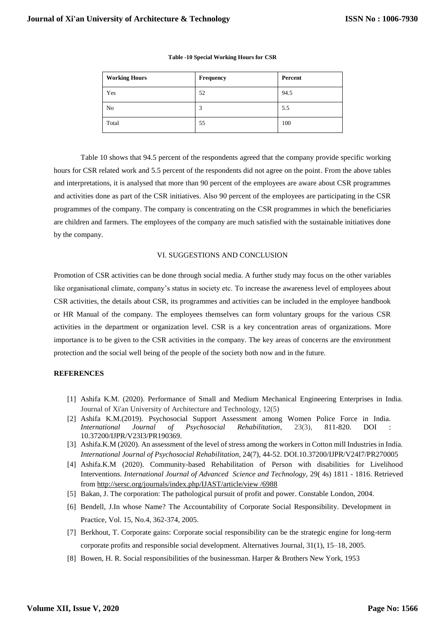| <b>Working Hours</b> | Frequency | Percent |
|----------------------|-----------|---------|
| Yes                  | 52        | 94.5    |
| No                   | 3         | 5.5     |
| Total                | 55        | 100     |

### **Table -10 Special Working Hours for CSR**

Table 10 shows that 94.5 percent of the respondents agreed that the company provide specific working hours for CSR related work and 5.5 percent of the respondents did not agree on the point. From the above tables and interpretations, it is analysed that more than 90 percent of the employees are aware about CSR programmes and activities done as part of the CSR initiatives. Also 90 percent of the employees are participating in the CSR programmes of the company. The company is concentrating on the CSR programmes in which the beneficiaries are children and farmers. The employees of the company are much satisfied with the sustainable initiatives done by the company.

## VI. SUGGESTIONS AND CONCLUSION

Promotion of CSR activities can be done through social media. A further study may focus on the other variables like organisational climate, company's status in society etc. To increase the awareness level of employees about CSR activities, the details about CSR, its programmes and activities can be included in the employee handbook or HR Manual of the company. The employees themselves can form voluntary groups for the various CSR activities in the department or organization level. CSR is a key concentration areas of organizations. More importance is to be given to the CSR activities in the company. The key areas of concerns are the environment protection and the social well being of the people of the society both now and in the future.

## **REFERENCES**

- [1] Ashifa K.M. (2020). Performance of Small and Medium Mechanical Engineering Enterprises in India. Journal of Xi'an University of Architecture and Technology, 12(5)
- [2] Ashifa K.M.(2019). Psychosocial Support Assessment among Women Police Force in India. *International Journal of Psychosocial Rehabilitation*, 23(3), 811-820. DOI 10.37200/IJPR/V23I3/PR190369.
- [3] Ashifa.K.M (2020). An assessment of the level of stress among the workers in Cotton mill Industries in India. *International Journal of Psychosocial Rehabilitation*, 24(7), 44-52. DOI.10.37200/IJPR/V24I7/PR270005
- [4] Ashifa.K.M (2020). Community-based Rehabilitation of Person with disabilities for Livelihood Interventions. *International Journal of Advanced Science and Technology,* 29( 4s) 1811 - 1816. Retrieved from [http://sersc.org/journals/index.php/IJAST/article/view /6988](http://sersc.org/journals/index.php/IJAST/article/view%20/6988)
- [5] Bakan, J. The corporation: The pathological pursuit of profit and power. Constable London, 2004.
- [6] Bendell, J.In whose Name? The Accountability of Corporate Social Responsibility. Development in Practice, Vol. 15, No.4, 362-374, 2005.
- [7] Berkhout, T. Corporate gains: Corporate social responsibility can be the strategic engine for long-term corporate profits and responsible social development. Alternatives Journal, 31(1), 15–18, 2005.
- [8] Bowen, H. R. Social responsibilities of the businessman. Harper & Brothers New York, 1953